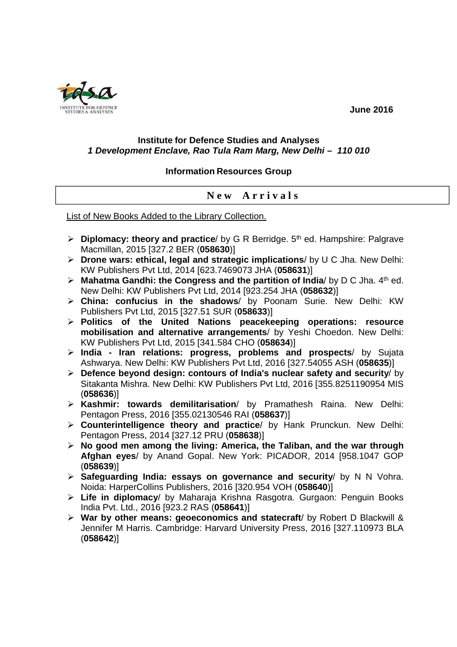INSTITUTE FOR DEFENCE **SUBJECT 2016** 

### **Institute for Defence Studies and Analyses 1 Development Enclave, Rao Tula Ram Marg, New Delhi – 110 010**

### **Information Resources Group**

## **N e w A r r i v a l s**

List of New Books Added to the Library Collection.

- **Diplomacy: theory and practice**/ by G R Berridge. 5<sup>th</sup> ed. Hampshire: Palgrave Macmillan, 2015 [327.2 BER (**058630**)]
- **Drone wars: ethical, legal and strategic implications**/ by U C Jha. New Delhi: KW Publishers Pvt Ltd, 2014 [623.7469073 JHA (**058631**)]
- **Mahatma Gandhi: the Congress and the partition of India/ by D C Jha. 4th ed.** New Delhi: KW Publishers Pvt Ltd, 2014 [923.254 JHA (**058632**)]
- **China: confucius in the shadows**/ by Poonam Surie. New Delhi: KW Publishers Pvt Ltd, 2015 [327.51 SUR (**058633**)]
- **Politics of the United Nations peacekeeping operations: resource mobilisation and alternative arrangements**/ by Yeshi Choedon. New Delhi: KW Publishers Pvt Ltd, 2015 [341.584 CHO (**058634**)]
- **India Iran relations: progress, problems and prospects**/ by Sujata Ashwarya. New Delhi: KW Publishers Pvt Ltd, 2016 [327.54055 ASH (**058635**)]
- **Defence beyond design: contours of India's nuclear safety and security**/ by Sitakanta Mishra. New Delhi: KW Publishers Pvt Ltd, 2016 [355.8251190954 MIS (**058636**)]
- **Kashmir: towards demilitarisation**/ by Pramathesh Raina. New Delhi: Pentagon Press, 2016 [355.02130546 RAI (**058637**)]
- **Counterintelligence theory and practice**/ by Hank Prunckun. New Delhi: Pentagon Press, 2014 [327.12 PRU (**058638**)]
- **No good men among the living: America, the Taliban, and the war through Afghan eyes**/ by Anand Gopal. New York: PICADOR, 2014 [958.1047 GOP (**058639**)]
- **Safeguarding India: essays on governance and security**/ by N N Vohra. Noida: HarperCollins Publishers, 2016 [320.954 VOH (**058640**)]
- **Life in diplomacy**/ by Maharaja Krishna Rasgotra. Gurgaon: Penguin Books India Pvt. Ltd., 2016 [923.2 RAS (**058641**)]
- **War by other means: geoeconomics and statecraft**/ by Robert D Blackwill & Jennifer M Harris. Cambridge: Harvard University Press, 2016 [327.110973 BLA (**058642**)]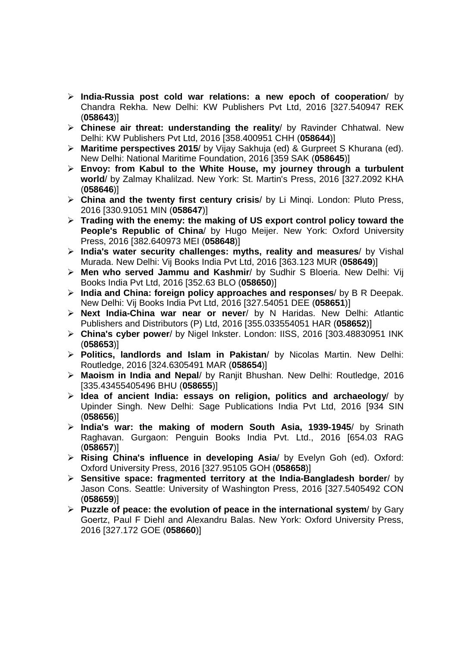- **India-Russia post cold war relations: a new epoch of cooperation**/ by Chandra Rekha. New Delhi: KW Publishers Pvt Ltd, 2016 [327.540947 REK (**058643**)]
- **Chinese air threat: understanding the reality**/ by Ravinder Chhatwal. New Delhi: KW Publishers Pvt Ltd, 2016 [358.400951 CHH (**058644**)]
- **Maritime perspectives 2015**/ by Vijay Sakhuja (ed) & Gurpreet S Khurana (ed). New Delhi: National Maritime Foundation, 2016 [359 SAK (**058645**)]
- **Envoy: from Kabul to the White House, my journey through a turbulent world**/ by Zalmay Khalilzad. New York: St. Martin's Press, 2016 [327.2092 KHA (**058646**)]
- **China and the twenty first century crisis**/ by Li Minqi. London: Pluto Press, 2016 [330.91051 MIN (**058647**)]
- **Trading with the enemy: the making of US export control policy toward the People's Republic of China**/ by Hugo Meijer. New York: Oxford University Press, 2016 [382.640973 MEI (**058648**)]
- **India's water security challenges: myths, reality and measures**/ by Vishal Murada. New Delhi: Vij Books India Pvt Ltd, 2016 [363.123 MUR (**058649**)]
- **Men who served Jammu and Kashmir**/ by Sudhir S Bloeria. New Delhi: Vij Books India Pvt Ltd, 2016 [352.63 BLO (**058650**)]
- **India and China: foreign policy approaches and responses**/ by B R Deepak. New Delhi: Vij Books India Pvt Ltd, 2016 [327.54051 DEE (**058651**)]
- **Next India-China war near or never**/ by N Haridas. New Delhi: Atlantic Publishers and Distributors (P) Ltd, 2016 [355.033554051 HAR (**058652**)]
- **China's cyber power**/ by Nigel Inkster. London: IISS, 2016 [303.48830951 INK (**058653**)]
- **Politics, landlords and Islam in Pakistan**/ by Nicolas Martin. New Delhi: Routledge, 2016 [324.6305491 MAR (**058654**)]
- **Maoism in India and Nepal**/ by Ranjit Bhushan. New Delhi: Routledge, 2016 [335.43455405496 BHU (**058655**)]
- **Idea of ancient India: essays on religion, politics and archaeology**/ by Upinder Singh. New Delhi: Sage Publications India Pvt Ltd, 2016 [934 SIN (**058656**)]
- **India's war: the making of modern South Asia, 1939-1945**/ by Srinath Raghavan. Gurgaon: Penguin Books India Pvt. Ltd., 2016 [654.03 RAG (**058657**)]
- **Rising China's influence in developing Asia**/ by Evelyn Goh (ed). Oxford: Oxford University Press, 2016 [327.95105 GOH (**058658**)]
- **Sensitive space: fragmented territory at the India-Bangladesh border**/ by Jason Cons. Seattle: University of Washington Press, 2016 [327.5405492 CON (**058659**)]
- **Puzzle of peace: the evolution of peace in the international system**/ by Gary Goertz, Paul F Diehl and Alexandru Balas. New York: Oxford University Press, 2016 [327.172 GOE (**058660**)]